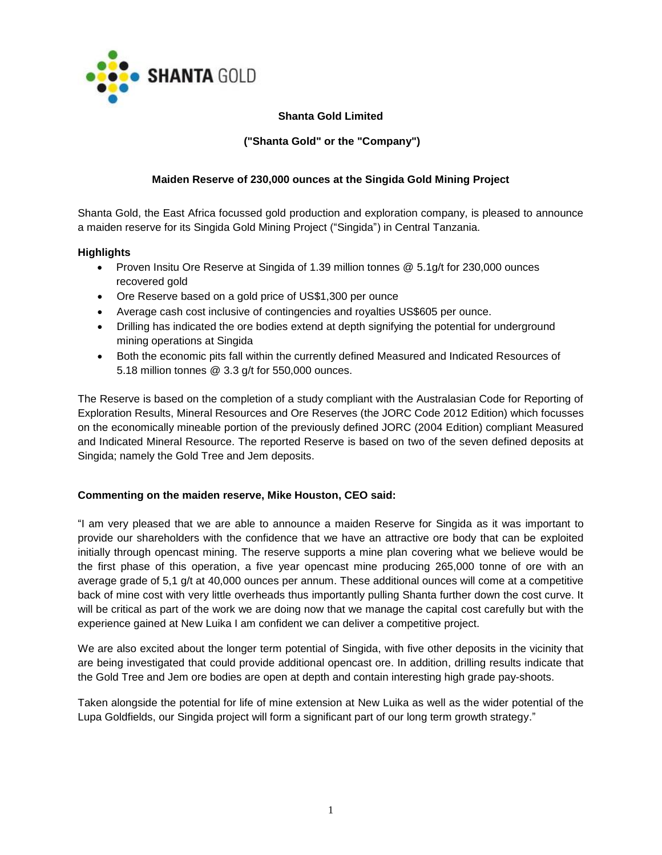

# **Shanta Gold Limited**

# **("Shanta Gold" or the "Company")**

# **Maiden Reserve of 230,000 ounces at the Singida Gold Mining Project**

Shanta Gold, the East Africa focussed gold production and exploration company, is pleased to announce a maiden reserve for its Singida Gold Mining Project ("Singida") in Central Tanzania.

## **Highlights**

- Proven Insitu Ore Reserve at Singida of 1.39 million tonnes @ 5.1g/t for 230,000 ounces recovered gold
- Ore Reserve based on a gold price of US\$1,300 per ounce
- Average cash cost inclusive of contingencies and royalties US\$605 per ounce.
- Drilling has indicated the ore bodies extend at depth signifying the potential for underground mining operations at Singida
- Both the economic pits fall within the currently defined Measured and Indicated Resources of 5.18 million tonnes @ 3.3 g/t for 550,000 ounces.

The Reserve is based on the completion of a study compliant with the Australasian Code for Reporting of Exploration Results, Mineral Resources and Ore Reserves (the JORC Code 2012 Edition) which focusses on the economically mineable portion of the previously defined JORC (2004 Edition) compliant Measured and Indicated Mineral Resource. The reported Reserve is based on two of the seven defined deposits at Singida; namely the Gold Tree and Jem deposits.

# **Commenting on the maiden reserve, Mike Houston, CEO said:**

"I am very pleased that we are able to announce a maiden Reserve for Singida as it was important to provide our shareholders with the confidence that we have an attractive ore body that can be exploited initially through opencast mining. The reserve supports a mine plan covering what we believe would be the first phase of this operation, a five year opencast mine producing 265,000 tonne of ore with an average grade of 5,1 g/t at 40,000 ounces per annum. These additional ounces will come at a competitive back of mine cost with very little overheads thus importantly pulling Shanta further down the cost curve. It will be critical as part of the work we are doing now that we manage the capital cost carefully but with the experience gained at New Luika I am confident we can deliver a competitive project.

We are also excited about the longer term potential of Singida, with five other deposits in the vicinity that are being investigated that could provide additional opencast ore. In addition, drilling results indicate that the Gold Tree and Jem ore bodies are open at depth and contain interesting high grade pay-shoots.

Taken alongside the potential for life of mine extension at New Luika as well as the wider potential of the Lupa Goldfields, our Singida project will form a significant part of our long term growth strategy."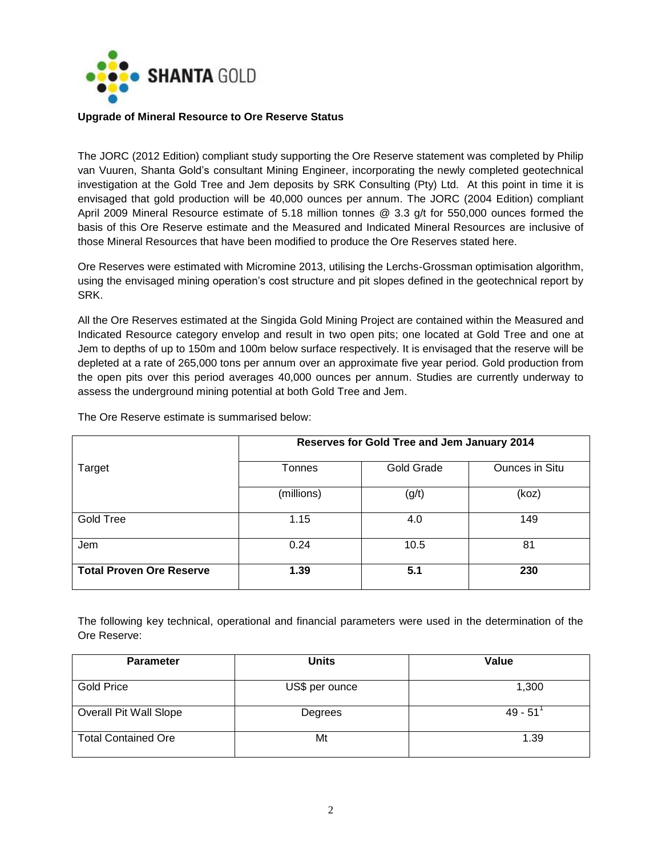

### **Upgrade of Mineral Resource to Ore Reserve Status**

The JORC (2012 Edition) compliant study supporting the Ore Reserve statement was completed by Philip van Vuuren, Shanta Gold's consultant Mining Engineer, incorporating the newly completed geotechnical investigation at the Gold Tree and Jem deposits by SRK Consulting (Pty) Ltd. At this point in time it is envisaged that gold production will be 40,000 ounces per annum. The JORC (2004 Edition) compliant April 2009 Mineral Resource estimate of 5.18 million tonnes @ 3.3 g/t for 550,000 ounces formed the basis of this Ore Reserve estimate and the Measured and Indicated Mineral Resources are inclusive of those Mineral Resources that have been modified to produce the Ore Reserves stated here.

Ore Reserves were estimated with Micromine 2013, utilising the Lerchs-Grossman optimisation algorithm, using the envisaged mining operation's cost structure and pit slopes defined in the geotechnical report by SRK.

All the Ore Reserves estimated at the Singida Gold Mining Project are contained within the Measured and Indicated Resource category envelop and result in two open pits; one located at Gold Tree and one at Jem to depths of up to 150m and 100m below surface respectively. It is envisaged that the reserve will be depleted at a rate of 265,000 tons per annum over an approximate five year period. Gold production from the open pits over this period averages 40,000 ounces per annum. Studies are currently underway to assess the underground mining potential at both Gold Tree and Jem.

|                                 | Reserves for Gold Tree and Jem January 2014 |            |                       |
|---------------------------------|---------------------------------------------|------------|-----------------------|
| Target                          | Tonnes                                      | Gold Grade | <b>Ounces in Situ</b> |
|                                 | (millions)                                  | (g/t)      | (koz)                 |
| Gold Tree                       | 1.15                                        | 4.0        | 149                   |
| Jem                             | 0.24                                        | 10.5       | 81                    |
| <b>Total Proven Ore Reserve</b> | 1.39                                        | 5.1        | 230                   |

The Ore Reserve estimate is summarised below:

The following key technical, operational and financial parameters were used in the determination of the Ore Reserve:

| <b>Parameter</b>           | <b>Units</b>   | Value     |
|----------------------------|----------------|-----------|
| <b>Gold Price</b>          | US\$ per ounce | 1,300     |
| Overall Pit Wall Slope     | Degrees        | $49 - 51$ |
| <b>Total Contained Ore</b> | Mt             | 1.39      |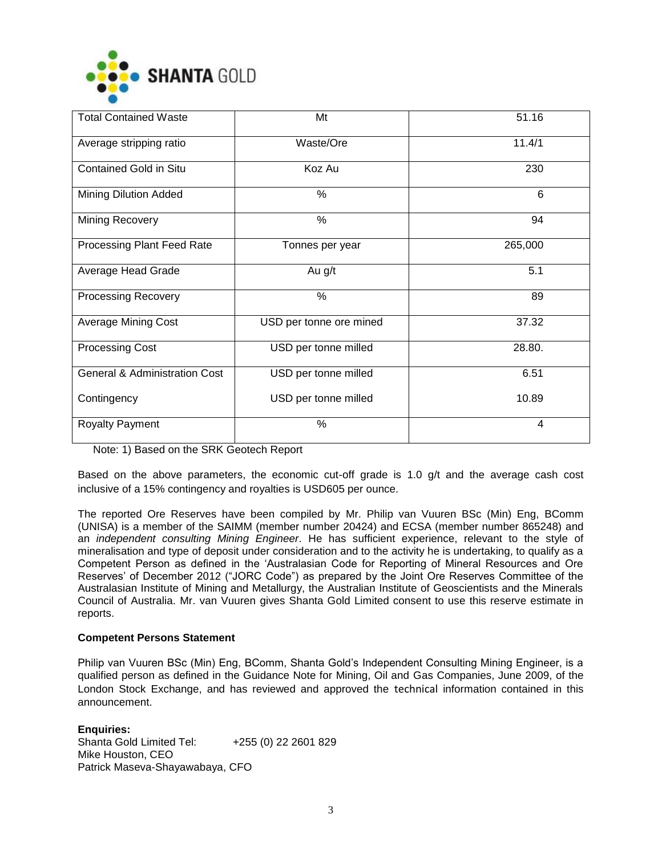

| <b>Total Contained Waste</b>             | Mt                      | 51.16   |
|------------------------------------------|-------------------------|---------|
| Average stripping ratio                  | Waste/Ore               | 11.4/1  |
| <b>Contained Gold in Situ</b>            | Koz Au                  | 230     |
| Mining Dilution Added                    | %                       | 6       |
| Mining Recovery                          | %                       | 94      |
| Processing Plant Feed Rate               | Tonnes per year         | 265,000 |
| Average Head Grade                       | Au g/t                  | 5.1     |
| <b>Processing Recovery</b>               | %                       | 89      |
| <b>Average Mining Cost</b>               | USD per tonne ore mined | 37.32   |
| <b>Processing Cost</b>                   | USD per tonne milled    | 28.80.  |
| <b>General &amp; Administration Cost</b> | USD per tonne milled    | 6.51    |
| Contingency                              | USD per tonne milled    | 10.89   |
| <b>Royalty Payment</b>                   | %                       | 4       |

Note: 1) Based on the SRK Geotech Report

Based on the above parameters, the economic cut-off grade is 1.0 g/t and the average cash cost inclusive of a 15% contingency and royalties is USD605 per ounce.

The reported Ore Reserves have been compiled by Mr. Philip van Vuuren BSc (Min) Eng, BComm (UNISA) is a member of the SAIMM (member number 20424) and ECSA (member number 865248) and an *independent consulting Mining Engineer*. He has sufficient experience, relevant to the style of mineralisation and type of deposit under consideration and to the activity he is undertaking, to qualify as a Competent Person as defined in the 'Australasian Code for Reporting of Mineral Resources and Ore Reserves' of December 2012 ("JORC Code") as prepared by the Joint Ore Reserves Committee of the Australasian Institute of Mining and Metallurgy, the Australian Institute of Geoscientists and the Minerals Council of Australia. Mr. van Vuuren gives Shanta Gold Limited consent to use this reserve estimate in reports.

### **Competent Persons Statement**

Philip van Vuuren BSc (Min) Eng, BComm, Shanta Gold's Independent Consulting Mining Engineer, is a qualified person as defined in the Guidance Note for Mining, Oil and Gas Companies, June 2009, of the London Stock Exchange, and has reviewed and approved the [technical](http://www.investegate.co.uk/shanta-gold-limited--shg-/rns/drill-results-at-new-luika-gold-mine/201309180700112520O/) information contained in this announcement.

**Enquiries:** Shanta Gold Limited Tel: +255 (0) 22 2601 829 Mike Houston, CEO Patrick Maseva-Shayawabaya, CFO